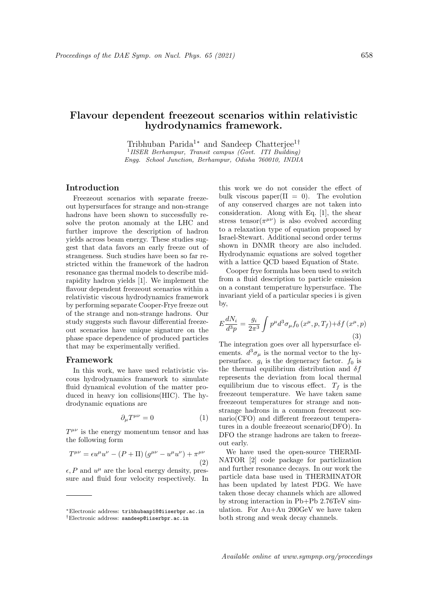# Flavour dependent freezeout scenarios within relativistic hydrodynamics framework.

Tribhuban Parida<sup>1∗</sup> and Sandeep Chatterjee<sup>1†</sup> <sup>1</sup> IISER Berhampur, Transit campus (Govt. ITI Building) Engg. School Junction, Berhampur, Odisha 760010, INDIA

# Introduction

Freezeout scenarios with separate freezeout hypersurfaces for strange and non-strange hadrons have been shown to successfully resolve the proton anomaly at the LHC and further improve the description of hadron yields across beam energy. These studies suggest that data favors an early freeze out of strangeness. Such studies have been so far restricted within the framework of the hadron resonance gas thermal models to describe midrapidity hadron yields [1]. We implement the flavour dependent freezeout scenarios within a relativistic viscous hydrodynamics framework by performing separate Cooper-Frye freeze out of the strange and non-strange hadrons. Our study suggests such flavour differential freezeout scenarios have unique signature on the phase space dependence of produced particles that may be experimentally verified.

#### Framework

In this work, we have used relativistic viscous hydrodynamics framework to simulate fluid dynamical evolution of the matter produced in heavy ion collisions(HIC). The hydrodynamic equations are

$$
\partial_{\mu}T^{\mu\nu} = 0 \tag{1}
$$

 $T^{\mu\nu}$  is the energy momentum tensor and has the following form

$$
T^{\mu\nu} = \epsilon u^{\mu} u^{\nu} - (P + \Pi) \left( g^{\mu\nu} - u^{\mu} u^{\nu} \right) + \pi^{\mu\nu}
$$
\n(2)

 $\epsilon$ , P and  $u^{\mu}$  are the local energy density, pressure and fluid four velocity respectively. In this work we do not consider the effect of bulk viscous paper( $\Pi = 0$ ). The evolution of any conserved charges are not taken into consideration. Along with Eq. [1], the shear stress tensor $(\pi^{\mu\nu})$  is also evolved according to a relaxation type of equation proposed by Israel-Stewart. Additional second order terms shown in DNMR theory are also included. Hydrodynamic equations are solved together with a lattice QCD based Equation of State.

Cooper frye formula has been used to switch from a fluid description to particle emission on a constant temperature hypersurface. The invariant yield of a particular species i is given by,

$$
E\frac{dN_i}{d^3p} = \frac{g_i}{2\pi^3} \int p^{\mu} d^3\sigma_{\mu} f_0(x^{\mu}, p, T_f) + \delta f(x^{\mu}, p)
$$
\n(3)

The integration goes over all hypersurface elements.  $d^3\sigma_\mu$  is the normal vector to the hypersurface.  $g_i$  is the degeneracy factor.  $f_0$  is the thermal equilibrium distribution and  $\delta f$ represents the deviation from local thermal equilibrium due to viscous effect.  $T_f$  is the freezeout temperature. We have taken same freezeout temperatures for strange and nonstrange hadrons in a common freezeout scenario(CFO) and different freezeout temperatures in a double freezeout scenario(DFO). In DFO the strange hadrons are taken to freezeout early.

We have used the open-source THERMI-NATOR [2] code package for particlization and further resonance decays. In our work the particle data base used in THERMINATOR has been updated by latest PDG. We have taken those decay channels which are allowed by strong interaction in Pb+Pb 2.76TeV simulation. For Au+Au 200GeV we have taken both strong and weak decay channels.

<sup>∗</sup>Electronic address: tribhubanp18@iiserbpr.ac.in †Electronic address: sandeep@iiserbpr.ac.in